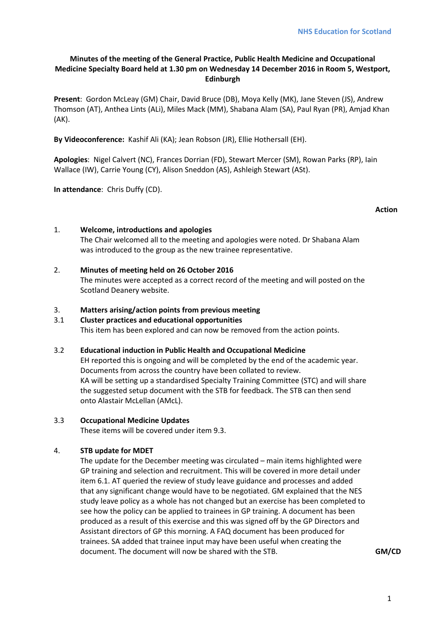## **Minutes of the meeting of the General Practice, Public Health Medicine and Occupational Medicine Specialty Board held at 1.30 pm on Wednesday 14 December 2016 in Room 5, Westport, Edinburgh**

**Present**: Gordon McLeay (GM) Chair, David Bruce (DB), Moya Kelly (MK), Jane Steven (JS), Andrew Thomson (AT), Anthea Lints (ALi), Miles Mack (MM), Shabana Alam (SA), Paul Ryan (PR), Amjad Khan (AK).

**By Videoconference:** Kashif Ali (KA); Jean Robson (JR), Ellie Hothersall (EH).

**Apologies**: Nigel Calvert (NC), Frances Dorrian (FD), Stewart Mercer (SM), Rowan Parks (RP), Iain Wallace (IW), Carrie Young (CY), Alison Sneddon (AS), Ashleigh Stewart (ASt).

**In attendance**: Chris Duffy (CD).

### 1. **Welcome, introductions and apologies**

The Chair welcomed all to the meeting and apologies were noted. Dr Shabana Alam was introduced to the group as the new trainee representative.

2. **Minutes of meeting held on 26 October 2016**

The minutes were accepted as a correct record of the meeting and will posted on the Scotland Deanery website.

### 3. **Matters arising/action points from previous meeting**

#### 3.1 **Cluster practices and educational opportunities** This item has been explored and can now be removed from the action points.

#### 3.2 **Educational induction in Public Health and Occupational Medicine**

EH reported this is ongoing and will be completed by the end of the academic year. Documents from across the country have been collated to review. KA will be setting up a standardised Specialty Training Committee (STC) and will share the suggested setup document with the STB for feedback. The STB can then send onto Alastair McLellan (AMcL).

#### 3.3 **Occupational Medicine Updates**

These items will be covered under item 9.3.

## 4. **STB update for MDET**

The update for the December meeting was circulated – main items highlighted were GP training and selection and recruitment. This will be covered in more detail under item 6.1. AT queried the review of study leave guidance and processes and added that any significant change would have to be negotiated. GM explained that the NES study leave policy as a whole has not changed but an exercise has been completed to see how the policy can be applied to trainees in GP training. A document has been produced as a result of this exercise and this was signed off by the GP Directors and Assistant directors of GP this morning. A FAQ document has been produced for trainees. SA added that trainee input may have been useful when creating the document. The document will now be shared with the STB. **GM/CD**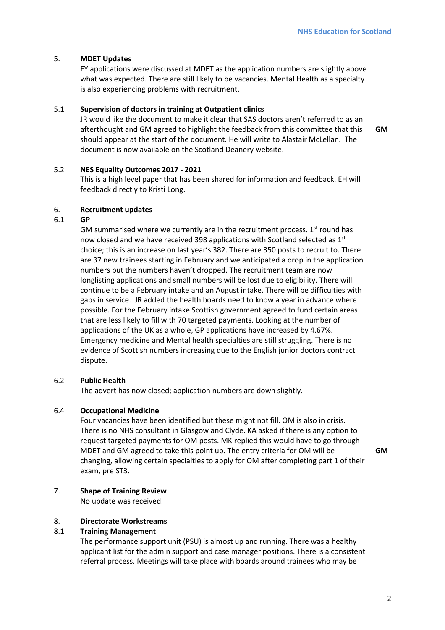### 5. **MDET Updates**

FY applications were discussed at MDET as the application numbers are slightly above what was expected. There are still likely to be vacancies. Mental Health as a specialty is also experiencing problems with recruitment.

### 5.1 **Supervision of doctors in training at Outpatient clinics**

JR would like the document to make it clear that SAS doctors aren't referred to as an afterthought and GM agreed to highlight the feedback from this committee that this should appear at the start of the document. He will write to Alastair McLellan. The document is now available on the Scotland Deanery website.

**GM** 

## 5.2 **NES Equality Outcomes 2017 - 2021**

This is a high level paper that has been shared for information and feedback. EH will feedback directly to Kristi Long.

### 6. **Recruitment updates**

### 6.1 **GP**

GM summarised where we currently are in the recruitment process.  $1<sup>st</sup>$  round has now closed and we have received 398 applications with Scotland selected as 1<sup>st</sup> choice; this is an increase on last year's 382. There are 350 posts to recruit to. There are 37 new trainees starting in February and we anticipated a drop in the application numbers but the numbers haven't dropped. The recruitment team are now longlisting applications and small numbers will be lost due to eligibility. There will continue to be a February intake and an August intake. There will be difficulties with gaps in service. JR added the health boards need to know a year in advance where possible. For the February intake Scottish government agreed to fund certain areas that are less likely to fill with 70 targeted payments. Looking at the number of applications of the UK as a whole, GP applications have increased by 4.67%. Emergency medicine and Mental health specialties are still struggling. There is no evidence of Scottish numbers increasing due to the English junior doctors contract dispute.

### 6.2 **Public Health**

The advert has now closed; application numbers are down slightly.

#### 6.4 **Occupational Medicine**

Four vacancies have been identified but these might not fill. OM is also in crisis. There is no NHS consultant in Glasgow and Clyde. KA asked if there is any option to request targeted payments for OM posts. MK replied this would have to go through MDET and GM agreed to take this point up. The entry criteria for OM will be changing, allowing certain specialties to apply for OM after completing part 1 of their exam, pre ST3.

**GM** 

### 7. **Shape of Training Review**

No update was received.

### 8. **Directorate Workstreams**

#### 8.1 **Training Management**

The performance support unit (PSU) is almost up and running. There was a healthy applicant list for the admin support and case manager positions. There is a consistent referral process. Meetings will take place with boards around trainees who may be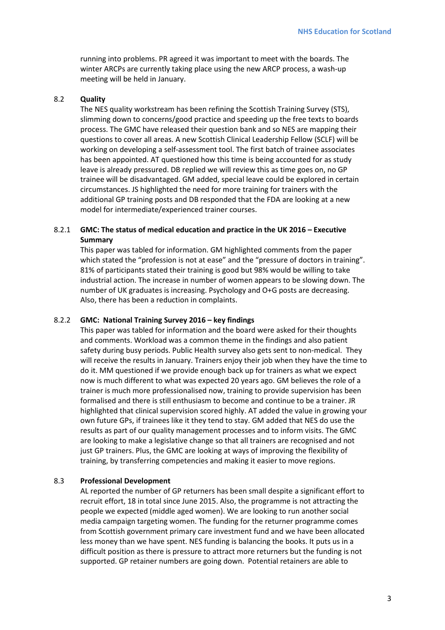running into problems. PR agreed it was important to meet with the boards. The winter ARCPs are currently taking place using the new ARCP process, a wash-up meeting will be held in January.

#### 8.2 **Quality**

The NES quality workstream has been refining the Scottish Training Survey (STS), slimming down to concerns/good practice and speeding up the free texts to boards process. The GMC have released their question bank and so NES are mapping their questions to cover all areas. A new Scottish Clinical Leadership Fellow (SCLF) will be working on developing a self-assessment tool. The first batch of trainee associates has been appointed. AT questioned how this time is being accounted for as study leave is already pressured. DB replied we will review this as time goes on, no GP trainee will be disadvantaged. GM added, special leave could be explored in certain circumstances. JS highlighted the need for more training for trainers with the additional GP training posts and DB responded that the FDA are looking at a new model for intermediate/experienced trainer courses.

### 8.2.1 **GMC: The status of medical education and practice in the UK 2016 – Executive Summary**

This paper was tabled for information. GM highlighted comments from the paper which stated the "profession is not at ease" and the "pressure of doctors in training". 81% of participants stated their training is good but 98% would be willing to take industrial action. The increase in number of women appears to be slowing down. The number of UK graduates is increasing. Psychology and O+G posts are decreasing. Also, there has been a reduction in complaints.

#### 8.2.2 **GMC: National Training Survey 2016 – key findings**

This paper was tabled for information and the board were asked for their thoughts and comments. Workload was a common theme in the findings and also patient safety during busy periods. Public Health survey also gets sent to non-medical. They will receive the results in January. Trainers enjoy their job when they have the time to do it. MM questioned if we provide enough back up for trainers as what we expect now is much different to what was expected 20 years ago. GM believes the role of a trainer is much more professionalised now, training to provide supervision has been formalised and there is still enthusiasm to become and continue to be a trainer. JR highlighted that clinical supervision scored highly. AT added the value in growing your own future GPs, if trainees like it they tend to stay. GM added that NES do use the results as part of our quality management processes and to inform visits. The GMC are looking to make a legislative change so that all trainers are recognised and not just GP trainers. Plus, the GMC are looking at ways of improving the flexibility of training, by transferring competencies and making it easier to move regions.

#### 8.3 **Professional Development**

AL reported the number of GP returners has been small despite a significant effort to recruit effort, 18 in total since June 2015. Also, the programme is not attracting the people we expected (middle aged women). We are looking to run another social media campaign targeting women. The funding for the returner programme comes from Scottish government primary care investment fund and we have been allocated less money than we have spent. NES funding is balancing the books. It puts us in a difficult position as there is pressure to attract more returners but the funding is not supported. GP retainer numbers are going down. Potential retainers are able to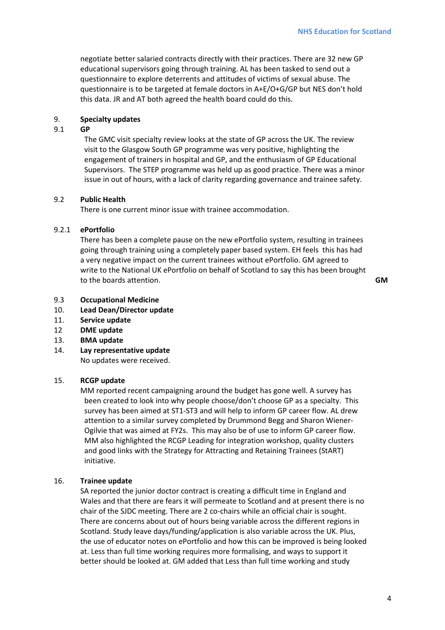negotiate better salaried contracts directly with their practices. There are 32 new GP educational supervisors going through training. AL has been tasked to send out a questionnaire to explore deterrents and attitudes of victims of sexual abuse. The questionnaire is to be targeted at female doctors in A+E/O+G/GP but NES don't hold this data. JR and AT both agreed the health board could do this.

### 9. **Specialty updates**

## 9.1 **GP**

The GMC visit specialty review looks at the state of GP across the UK. The review visit to the Glasgow South GP programme was very positive, highlighting the engagement of trainers in hospital and GP, and the enthusiasm of GP Educational Supervisors. The STEP programme was held up as good practice. There was a minor issue in out of hours, with a lack of clarity regarding governance and trainee safety.

#### 9.2 **Public Health**

There is one current minor issue with trainee accommodation.

#### 9.2.1 **ePortfolio**

There has been a complete pause on the new ePortfolio system, resulting in trainees going through training using a completely paper based system. EH feels this has had a very negative impact on the current trainees without ePortfolio. GM agreed to write to the National UK ePortfolio on behalf of Scotland to say this has been brought to the boards attention. **GM** 

- 9.3 **Occupational Medicine**
- 10. **Lead Dean/Director update**
- 11. **Service update**
- 12 **DME update**
- 13. **BMA update**
- 14. **Lay representative update**

No updates were received.

#### 15. **RCGP update**

MM reported recent campaigning around the budget has gone well. A survey has been created to look into why people choose/don't choose GP as a specialty. This survey has been aimed at ST1-ST3 and will help to inform GP career flow. AL drew attention to a similar survey completed by Drummond Begg and Sharon Wiener-Ogilvie that was aimed at FY2s. This may also be of use to inform GP career flow. MM also highlighted the RCGP Leading for integration workshop, quality clusters and good links with the Strategy for Attracting and Retaining Trainees (StART) initiative.

#### 16. **Trainee update**

SA reported the junior doctor contract is creating a difficult time in England and Wales and that there are fears it will permeate to Scotland and at present there is no chair of the SJDC meeting. There are 2 co-chairs while an official chair is sought. There are concerns about out of hours being variable across the different regions in Scotland. Study leave days/funding/application is also variable across the UK. Plus, the use of educator notes on ePortfolio and how this can be improved is being looked at. Less than full time working requires more formalising, and ways to support it better should be looked at. GM added that Less than full time working and study